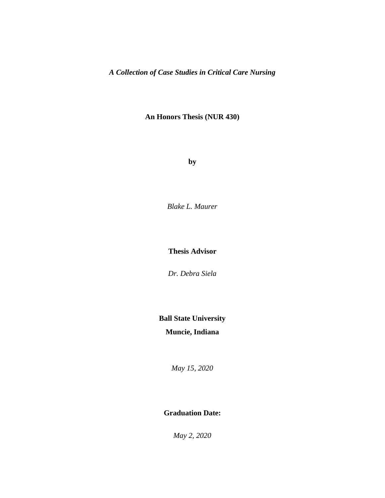**An Honors Thesis (NUR 430)**

**by**

*Blake L. Maurer*

**Thesis Advisor**

*Dr. Debra Siela*

# **Ball State University**

## **Muncie, Indiana**

*May 15, 2020*

### **Graduation Date:**

*May 2, 2020*